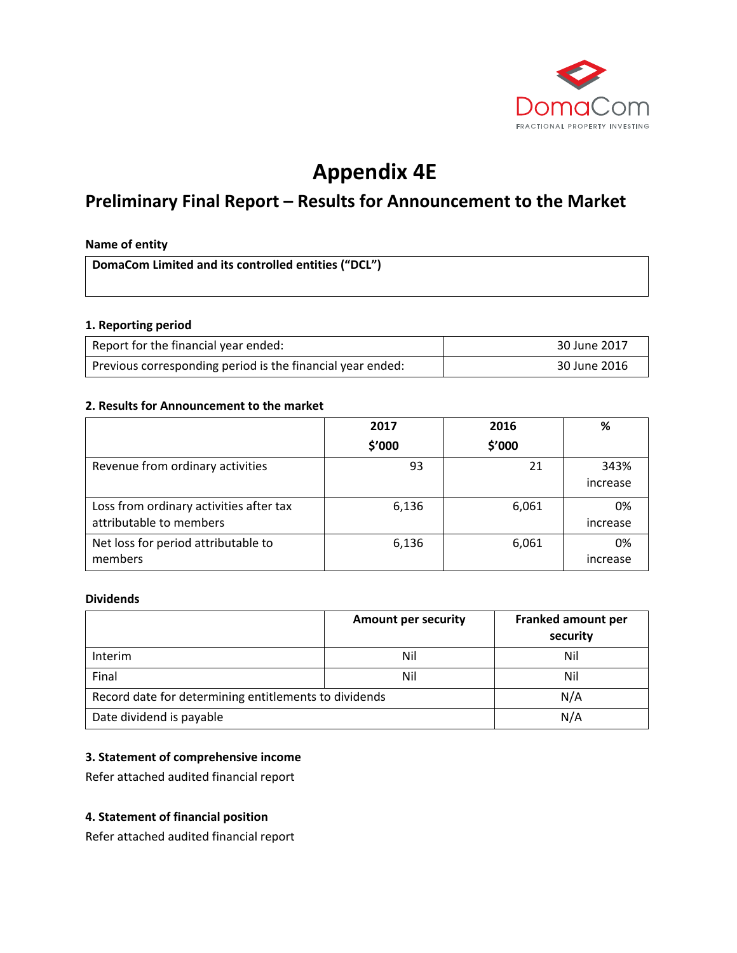

# **Appendix 4E**

# **Preliminary Final Report – Results for Announcement to the Market**

#### **Name of entity**

**DomaCom Limited and its controlled entities ("DCL")**

#### **1. Reporting period**

| Report for the financial year ended:                       | 30 June 2017 |
|------------------------------------------------------------|--------------|
| Previous corresponding period is the financial year ended: | 30 June 2016 |

#### **2. Results for Announcement to the market**

|                                                                    | 2017   | 2016   | %                |
|--------------------------------------------------------------------|--------|--------|------------------|
|                                                                    | \$'000 | \$'000 |                  |
| Revenue from ordinary activities                                   | 93     | 21     | 343%<br>increase |
| Loss from ordinary activities after tax<br>attributable to members | 6,136  | 6,061  | 0%<br>increase   |
| Net loss for period attributable to<br>members                     | 6,136  | 6,061  | 0%<br>increase   |

#### **Dividends**

|                                                       | <b>Amount per security</b> | <b>Franked amount per</b><br>security |
|-------------------------------------------------------|----------------------------|---------------------------------------|
| Interim                                               | Nil                        | Nil                                   |
| Final                                                 | Nil                        | Nil                                   |
| Record date for determining entitlements to dividends |                            | N/A                                   |
| Date dividend is payable                              |                            | N/A                                   |

# **3. Statement of comprehensive income**

Refer attached audited financial report

## **4. Statement of financial position**

Refer attached audited financial report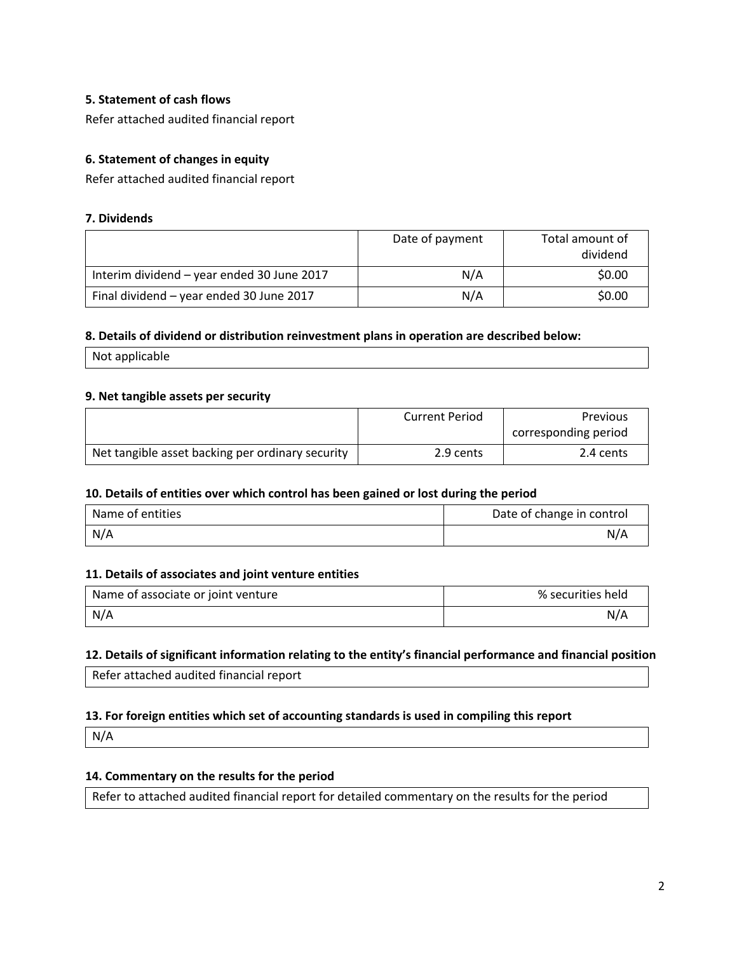# **5. Statement of cash flows**

Refer attached audited financial report

# **6. Statement of changes in equity**

Refer attached audited financial report

#### **7. Dividends**

|                                            | Date of payment | Total amount of<br>dividend |
|--------------------------------------------|-----------------|-----------------------------|
| Interim dividend - year ended 30 June 2017 | N/A             | \$0.00                      |
| Final dividend - year ended 30 June 2017   | N/A             | \$0.00                      |

#### **8. Details of dividend or distribution reinvestment plans in operation are described below:**

Not applicable

#### **9. Net tangible assets per security**

|                                                  | <b>Current Period</b> | <b>Previous</b>      |
|--------------------------------------------------|-----------------------|----------------------|
|                                                  |                       | corresponding period |
| Net tangible asset backing per ordinary security | 2.9 cents             | 2.4 cents            |

#### **10. Details of entities over which control has been gained or lost during the period**

| Name of entities | Date of change in control |
|------------------|---------------------------|
| N/A              | N/A                       |

#### **11. Details of associates and joint venture entities**

| Name of associate or joint venture | % securities held |
|------------------------------------|-------------------|
| N/A                                | N/A               |

#### **12. Details of significant information relating to the entity's financial performance and financial position**

Refer attached audited financial report

#### **13. For foreign entities which set of accounting standards is used in compiling this report**

N/A

# **14. Commentary on the results for the period**

Refer to attached audited financial report for detailed commentary on the results for the period